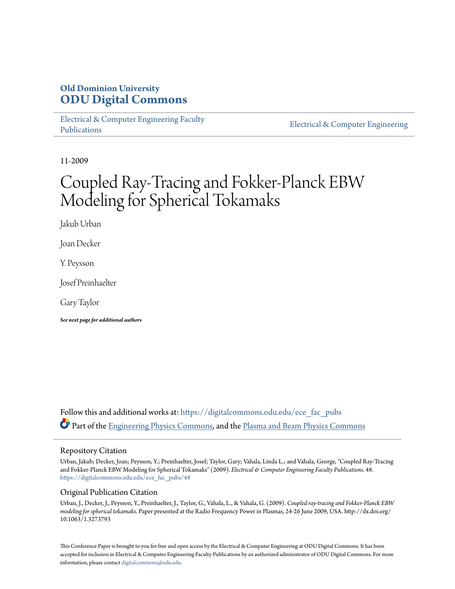# **Old Dominion University [ODU Digital Commons](https://digitalcommons.odu.edu?utm_source=digitalcommons.odu.edu%2Fece_fac_pubs%2F48&utm_medium=PDF&utm_campaign=PDFCoverPages)**

[Electrical & Computer Engineering Faculty](https://digitalcommons.odu.edu/ece_fac_pubs?utm_source=digitalcommons.odu.edu%2Fece_fac_pubs%2F48&utm_medium=PDF&utm_campaign=PDFCoverPages) [Publications](https://digitalcommons.odu.edu/ece_fac_pubs?utm_source=digitalcommons.odu.edu%2Fece_fac_pubs%2F48&utm_medium=PDF&utm_campaign=PDFCoverPages)

[Electrical & Computer Engineering](https://digitalcommons.odu.edu/ece?utm_source=digitalcommons.odu.edu%2Fece_fac_pubs%2F48&utm_medium=PDF&utm_campaign=PDFCoverPages)

11-2009

# Coupled Ray-Tracing and Fokker-Planck EBW Modeling for Spherical Tokamaks

Jakub Urban

Joan Decker

Y. Peysson

Josef Preinhaelter

Gary Taylor

*See next page for additional authors*

Follow this and additional works at: [https://digitalcommons.odu.edu/ece\\_fac\\_pubs](https://digitalcommons.odu.edu/ece_fac_pubs?utm_source=digitalcommons.odu.edu%2Fece_fac_pubs%2F48&utm_medium=PDF&utm_campaign=PDFCoverPages) Part of the [Engineering Physics Commons](http://network.bepress.com/hgg/discipline/200?utm_source=digitalcommons.odu.edu%2Fece_fac_pubs%2F48&utm_medium=PDF&utm_campaign=PDFCoverPages), and the [Plasma and Beam Physics Commons](http://network.bepress.com/hgg/discipline/205?utm_source=digitalcommons.odu.edu%2Fece_fac_pubs%2F48&utm_medium=PDF&utm_campaign=PDFCoverPages)

## Repository Citation

Urban, Jakub; Decker, Joan; Peysson, Y.; Preinhaelter, Josef; Taylor, Gary; Vahala, Linda L.; and Vahala, George, "Coupled Ray-Tracing and Fokker-Planck EBW Modeling for Spherical Tokamaks" (2009). *Electrical & Computer Engineering Faculty Publications*. 48. [https://digitalcommons.odu.edu/ece\\_fac\\_pubs/48](https://digitalcommons.odu.edu/ece_fac_pubs/48?utm_source=digitalcommons.odu.edu%2Fece_fac_pubs%2F48&utm_medium=PDF&utm_campaign=PDFCoverPages)

## Original Publication Citation

Urban, J., Decker, J., Peysson, Y., Preinhaelter, J., Taylor, G., Vahala, L., & Vahala, G. (2009). *Coupled ray-tracing and Fokker-Planck EBW modeling for spherical tokamaks.* Paper presented at the Radio Frequency Power in Plasmas, 24-26 June 2009, USA. http://dx.doi.org/ 10.1063/1.3273793

This Conference Paper is brought to you for free and open access by the Electrical & Computer Engineering at ODU Digital Commons. It has been accepted for inclusion in Electrical & Computer Engineering Faculty Publications by an authorized administrator of ODU Digital Commons. For more information, please contact [digitalcommons@odu.edu](mailto:digitalcommons@odu.edu).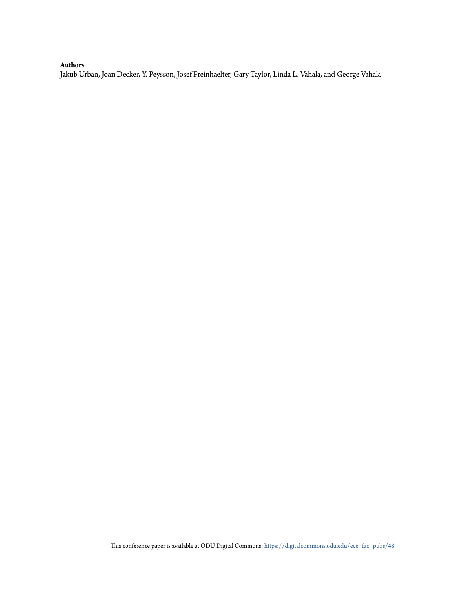### **Authors**

Jakub Urban, Joan Decker, Y. Peysson, Josef Preinhaelter, Gary Taylor, Linda L. Vahala, and George Vahala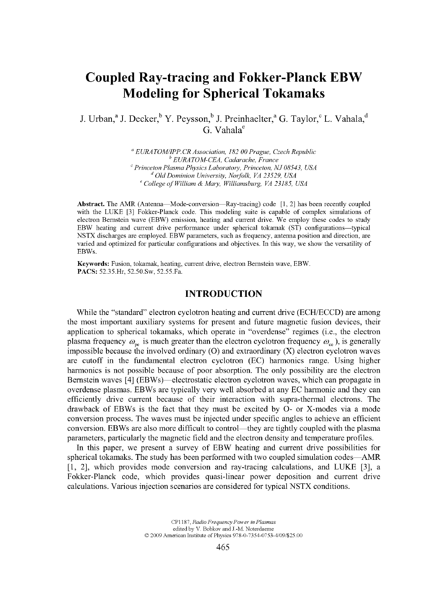# **Coupled Ray-tracing and Fokker-Planck EBW Modeling for Spherical Tokamaks**

J. Urban,<sup>a</sup> J. Decker,<sup>b</sup> Y. Peysson,<sup>b</sup> J. Preinhaelter,<sup>a</sup> G. Taylor,<sup>c</sup> L. Vahala,<sup>d</sup> G. Vahala"

> *' EURATOM/IPP.CR Association. 182 00 Prague. Czech Republic*  ' *EURATOM-CEA. Cadarache. France ^ Princeton Plasma Physics Laboratory. Princeton. NJ 08543. USA '' Old Dominion University. Norfolk. VA 23529. USA*  <sup>e</sup> College of William & Mary, Williamsburg, VA 23185, USA

**Abstract.** The AMR (Antenna—Mode-conversion—Ray-tracing) code [1, 2] has been recently coupled with the LUKE [3] Fokker-Planck code. This modeling suite is capable of complex simulations of electron Bernstein wave (EBW) emission, heating and current drive. We employ these codes to study EBW heating and current drive performance under spherical tokamak (ST) configurations—typical NSTX discharges are employed. EBW parameters, such as frequency, antenna position and direction, are varied and optimized for particular configurations and objectives. In this way, we show the versatility of EBWs.

**Keywords:** Fusion, tokamak, heating, current drive, electron Bernstein wave, EBW. **PACS:** 52.35.Hr, 52.50.Sw, 52.55.Fa.

#### **INTRODUCTION**

While the "standard" electron cyclotron heating and current drive (ECH/ECCD) are among the most important auxiliary systems for present and future magnetic fusion devices, their application to spherical tokamaks, which operate in "overdense" regimes (i.e., the electron plasma frequency  $\omega_{\rm ne}$  is much greater than the electron cyclotron frequency  $\omega_{\rm ee}$ ), is generally impossible because the involved ordinary  $(O)$  and extraordinary  $(X)$  electron cyclotron waves are cutoff in the fundamental electron cyclotron (EC) harmonics range. Using higher harmonics is not possible because of poor absorption. The only possibility are the electron Bernstein waves [4] (EBWs)—electrostatic electron cyclotron waves, which can propagate in overdense plasmas. EBWs are typically very well absorbed at any EC harmonic and they can efficiently drive current because of their interaction with supra-thermal electrons. The drawback of EBWs is the fact that they must be excited by O- or X-modes via a mode conversion process. The waves must be injected under specific angles to achieve an efficient conversion. EBWs are also more difficult to control—they are tightly coupled with the plasma parameters, particularly the magnetic field and the electron density and temperature profiles.

In this paper, we present a survey of EBW heating and current drive possibilities for spherical tokamaks. The study has been performed with two coupled simulation codes—AMR [1, 2], which provides mode conversion and ray-tracing calculations, and LUKE [3], a Fokker-Planck code, which provides quasi-linear power deposition and current drive calculations. Various injection scenarios are considered for typical NSTX conditions.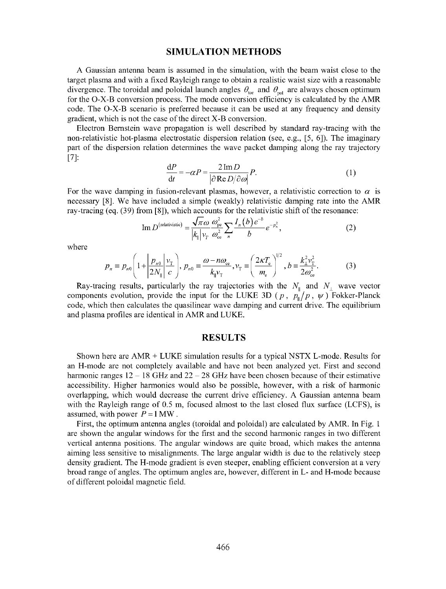#### SIMULATION METHODS

A Gaussian antenna beam is assumed in the simulation, with the beam waist close to the target plasma and with a fixed Rayleigh range to obtain a realistic waist size with a reasonable divergence. The toroidal and poloidal launch angles  $\theta_{\text{tor}}$  and  $\theta_{\text{pol}}$  are always chosen optimum for the O-X-B conversion process. The mode conversion efficiency is calculated by the AMR code. The O-X-B scenario is preferred because it can be used at any frequency and density gradient, which is not the case of the direct X-B conversion.

Electron Bernstein wave propagation is well described by standard ray-tracing with the non-relativistic hot-plasma electrostatic dispersion relation (see, e.g., [5, 6]). The imaginary part of the dispersion relation determines the wave packet damping along the ray trajectory [7]:

$$
\frac{dP}{dt} = -\alpha P = \frac{2 \operatorname{Im} D}{|\partial \operatorname{Re} D/\partial \omega|} P.
$$
 (1)

For the wave damping in fusion-relevant plasmas, however, a relativistic correction to  $\alpha$  is necessary [8]. We have included a simple (weakly) relativistic damping rate into the AMR ray-tracing (eq. (39) from [8]), which accounts for the relativistic shift of the resonance:

Im 
$$
D^{\text{(relativistic)}} = \frac{\sqrt{\pi \omega}}{|k_{\parallel}|} \frac{\omega_{\text{pe}}^2}{v_{\text{re}}} \sum_n \frac{I_n(b) e^{-b}}{b} e^{-p_n^2},
$$
 (2)

where

$$
p_n = p_{n0} \left( 1 + \left| \frac{p_{n0}}{2N_{\parallel}} \right| \frac{v_{\rm T}}{c} \right), p_{n0} = \frac{\omega - n\omega_{\rm ce}}{k_{\parallel} v_{\rm T}}, v_{\rm T} = \left( \frac{2\kappa T_{\rm e}}{m_{\rm e}} \right)^{1/2}, b = \frac{k_{\perp}^2 v_{\rm T}^2}{2\omega_{\rm ce}^2}.
$$
 (3)

Ray-tracing results, particularly the ray trajectories with the  $N_{\parallel}$  and  $N_{\perp}$  wave vector components evolution, provide the input for the LUKE 3D ( $p$ ,  $p_{\parallel}/p$ ,  $\psi$ ) Fokker-Planck code, which then calculates the quasilinear wave damping and current drive. The equilibrium and plasma profiles are identical in AMR and LUKE.

#### RESULTS

Shown here are AMR + LUKE simulation results for a typical NSTX L-mode. Results for an H-mode are not completely available and have not been analyzed yet. First and second harmonic ranges  $12 - 18$  GHz and  $22 - 28$  GHz have been chosen because of their estimative accessibility. Higher harmonics would also be possible, however, with a risk of harmonic overlapping, which would decrease the current drive efficiency. A Gaussian antenna beam with the Rayleigh range of 0.5 m, focused almost to the last closed flux surface (LCFS), is assumed, with power  $P = 1$  MW.

First, the optimum antenna angles (toroidal and poloidal) are calculated by AMR. In Fig. 1 are shown the angular windows for the first and the second harmonic ranges in two different vertical antenna positions. The angular windows are quite broad, which makes the antenna aiming less sensitive to misalignments. The large angular width is due to the relatively steep density gradient. The H-mode gradient is even steeper, enabling efficient conversion at a very broad range of angles. The optimum angles are, however, different in L- and H-mode because of different poloidal magnetic field.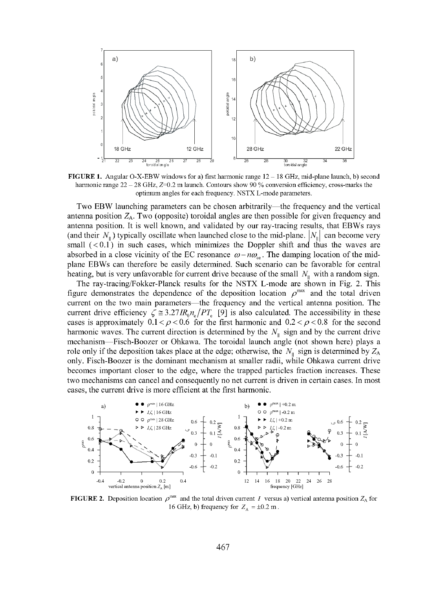

FIGURE 1. Angular O-X-EBW windows for a) first harmonic range  $12-18$  GHz, mid-plane launch, b) second harmonic range  $22 - 28$  GHz,  $Z=0.2$  m launch. Contours show 90 % conversion efficiency, cross-marks the optimum angles for each frequency. NSTX L-mode parameters.

Two EBW launching parameters can be chosen arbitrarily—the Irequency and the vertical antenna position  $Z_A$ . Two (opposite) toroidal angles are then possible for given frequency and antenna position. It is well known, and validated by our ray-tracing results, that EBWs rays (and their  $N_{\parallel}$ ) typically oscillate when launched close to the mid-plane.  $|N_{\parallel}|$  can become very small  $( $0.1$ )$  in such cases, which minimizes the Doppler shift and thus the waves are absorbed in a close vicinity of the EC resonance  $\omega - n\omega_{\rm ee}$ . The damping location of the midplane EBWs can therefore be easily determined. Such scenario can be favorable for central heating, but is very unfavorable for current drive because of the small  $N_{\text{II}}$  with a random sign.

The ray-tracing/Fokker-Planck results for the NSTX L-mode are shown in Fig. 2. This figure demonstrates the dependence of the deposition location  $\rho^{\text{max}}$  and the total driven current on the two main parameters—the frequency and the vertical antenna position. The current drive efficiency  $\zeta \approx 3.27 \text{IR}_0\text{n}_e/\text{PT}_e$  [9] is also calculated. The accessibility in these cases is approximately  $0.1 < \rho < 0.6$  for the first harmonic and  $0.2 < \rho < 0.8$  for the second harmonic waves. The current direction is determined by the  $N_{\rm{II}}$  sign and by the current drive mechanism—Fisch-Boozer or Ohkawa. The toroidal launch angle (not shown here) plays a role only if the deposition takes place at the edge; otherwise, the  $N_{\parallel}$  sign is determined by  $Z_A$ only. Fisch-Boozer is the dominant mechanism at smaller radii, while Ohkawa current drive becomes important closer to the edge, where the trapped particles traction increases. These two mechanisms can cancel and consequently no net current is driven in certain cases. In most cases, the current drive is more efficient at the first harmonic.



**FIGURE 2.** Deposition location  $\rho^{\text{max}}$  and the total driven current I versus a) vertical antenna position  $Z_A$  for 16 GHz, b) frequency for  $Z_A = \pm 0.2$  m.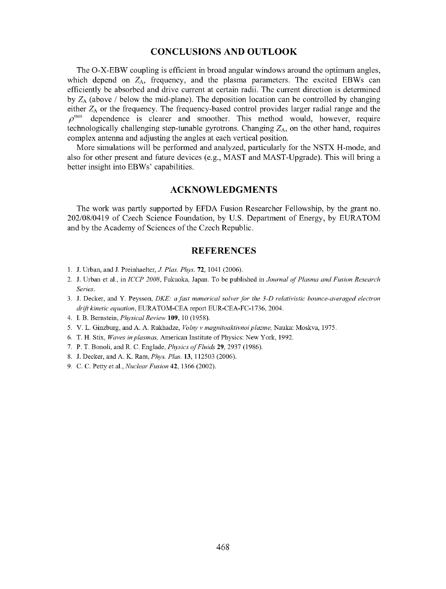#### CONCLUSIONS AND OUTLOOK

The O-X-EBW coupling is efficient in broad angular windows around the optimum angles, which depend on  $Z_A$ , frequency, and the plasma parameters. The excited EBWs can efficiently be absorbed and drive current at certain radii. The current direction is determined by  $Z_A$  (above / below the mid-plane). The deposition location can be controlled by changing either  $Z_A$  or the frequency. The frequency-based control provides larger radial range and the  $\rho^{max}$  dependence is clearer and smoother. This method would, however, require technologically challenging step-tunable gyrotrons. Changing  $Z_A$ , on the other hand, requires complex antenna and adjusting the angles at each vertical position.

More simulations will be performed and analyzed, particularly for the NSTX H-mode, and also for other present and future devices (e.g., MAST and MAST-Upgrade). This will bring a better insight into EBWs' capabilities.

#### ACKNOWLEDGMENTS

The work was partly supported by EFDA Fusion Researcher Fellowship, by the grant no. 202/08/0419 of Czech Science Foundation, by U.S. Department of Energy, by EURATOM and by the Academy of Sciences of the Czech Republic.

#### REFERENCES

- 1. J. Urban, and J. Preinhaelter, *J. Plas. Phys.* 72, 1041 (2006).
- 2. J. Urban et al., in *ICCP 2008,* Fukuoka, Japan. To be published in *Journal of Plasma and Fusion Research Series.*
- 3. J. Decker, and Y. Peysson, *DKE: a fast numerical solver for the 3-D relativistic bounce-averaged electron drift kinetic equation,* EURATOM-CEA report EUR-CEA-FC-1736, 2004.
- 4. I. B. Bernstein, *Physical Review* **109,** 10 (1958).
- 5. V. L. Ginzburg, and A. A. Rukhadze, *Volny v magnitoaktivnoiplazme,* Nauka: Moskva, 1975.
- 6. T. H. Stix, *Waves in plasmas,* American Institute of Physics: New York, 1992.
- 7. P. T. Bonoli, and R. C. Englade, *Physics of Fluids* 29, 2937 (1986).
- 8. J. Decker, and A. K. Ram, *Phys. Plas.* 13, 112503 (2006).
- 9. C. C. Petty et al.. *Nuclear Fusion* 42, 1366 (2002).